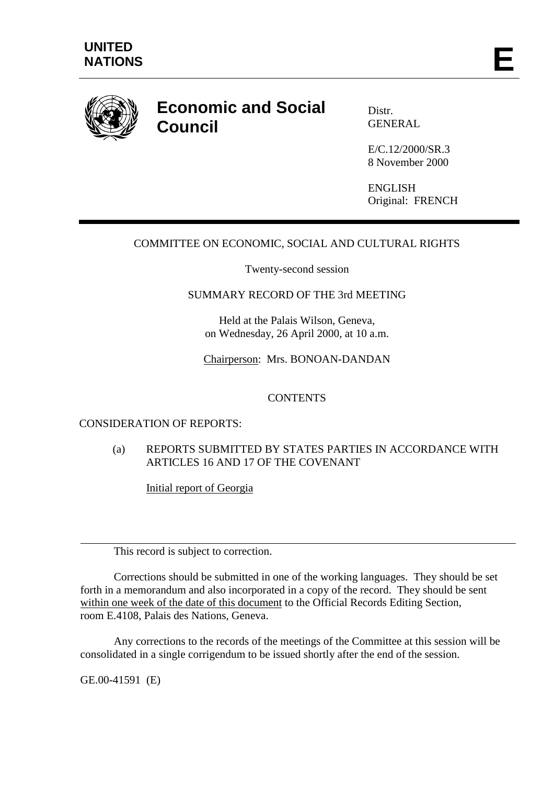

# **Economic and Social Council**

Distr. GENERAL

E/C.12/2000/SR.3 8 November 2000

ENGLISH Original: FRENCH

## COMMITTEE ON ECONOMIC, SOCIAL AND CULTURAL RIGHTS

Twenty-second session

### SUMMARY RECORD OF THE 3rd MEETING

Held at the Palais Wilson, Geneva, on Wednesday, 26 April 2000, at 10 a.m.

Chairperson: Mrs. BONOAN-DANDAN

### **CONTENTS**

## CONSIDERATION OF REPORTS:

(a) REPORTS SUBMITTED BY STATES PARTIES IN ACCORDANCE WITH ARTICLES 16 AND 17 OF THE COVENANT

Initial report of Georgia

This record is subject to correction.

Corrections should be submitted in one of the working languages. They should be set forth in a memorandum and also incorporated in a copy of the record. They should be sent within one week of the date of this document to the Official Records Editing Section, room E.4108, Palais des Nations, Geneva.

Any corrections to the records of the meetings of the Committee at this session will be consolidated in a single corrigendum to be issued shortly after the end of the session.

GE.00-41591 (E)

 $\overline{a}$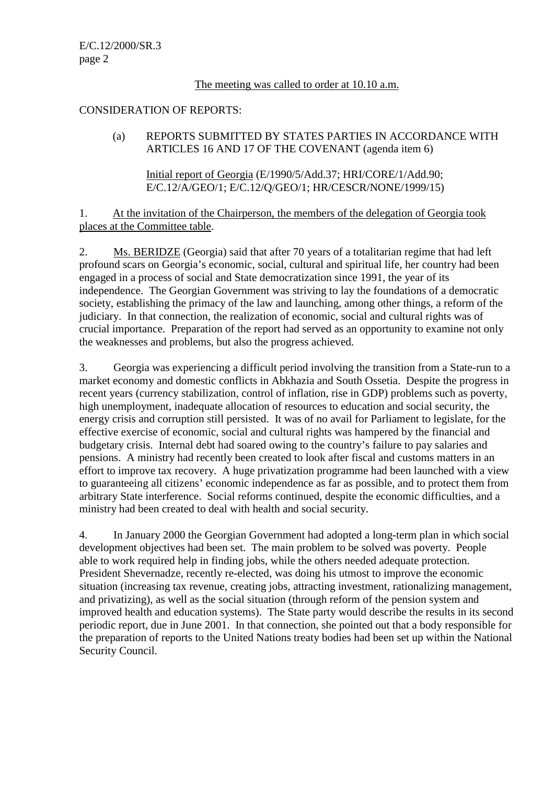## The meeting was called to order at 10.10 a.m.

## CONSIDERATION OF REPORTS:

## (a) REPORTS SUBMITTED BY STATES PARTIES IN ACCORDANCE WITH ARTICLES 16 AND 17 OF THE COVENANT (agenda item 6)

Initial report of Georgia (E/1990/5/Add.37; HRI/CORE/1/Add.90; E/C.12/A/GEO/1; E/C.12/Q/GEO/1; HR/CESCR/NONE/1999/15)

1. At the invitation of the Chairperson, the members of the delegation of Georgia took places at the Committee table.

2. Ms. BERIDZE (Georgia) said that after 70 years of a totalitarian regime that had left profound scars on Georgia's economic, social, cultural and spiritual life, her country had been engaged in a process of social and State democratization since 1991, the year of its independence. The Georgian Government was striving to lay the foundations of a democratic society, establishing the primacy of the law and launching, among other things, a reform of the judiciary. In that connection, the realization of economic, social and cultural rights was of crucial importance. Preparation of the report had served as an opportunity to examine not only the weaknesses and problems, but also the progress achieved.

3. Georgia was experiencing a difficult period involving the transition from a State-run to a market economy and domestic conflicts in Abkhazia and South Ossetia. Despite the progress in recent years (currency stabilization, control of inflation, rise in GDP) problems such as poverty, high unemployment, inadequate allocation of resources to education and social security, the energy crisis and corruption still persisted. It was of no avail for Parliament to legislate, for the effective exercise of economic, social and cultural rights was hampered by the financial and budgetary crisis. Internal debt had soared owing to the country's failure to pay salaries and pensions. A ministry had recently been created to look after fiscal and customs matters in an effort to improve tax recovery. A huge privatization programme had been launched with a view to guaranteeing all citizens' economic independence as far as possible, and to protect them from arbitrary State interference. Social reforms continued, despite the economic difficulties, and a ministry had been created to deal with health and social security.

4. In January 2000 the Georgian Government had adopted a long-term plan in which social development objectives had been set. The main problem to be solved was poverty. People able to work required help in finding jobs, while the others needed adequate protection. President Shevernadze, recently re-elected, was doing his utmost to improve the economic situation (increasing tax revenue, creating jobs, attracting investment, rationalizing management, and privatizing), as well as the social situation (through reform of the pension system and improved health and education systems). The State party would describe the results in its second periodic report, due in June 2001. In that connection, she pointed out that a body responsible for the preparation of reports to the United Nations treaty bodies had been set up within the National Security Council.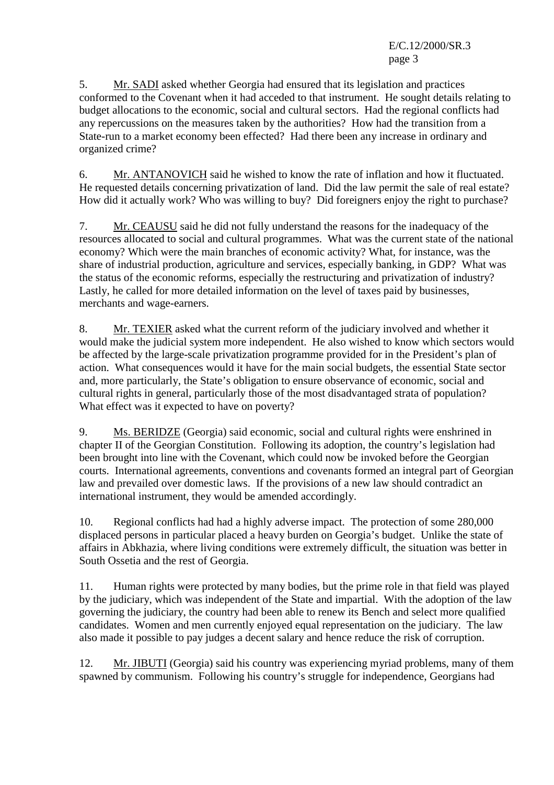5. Mr. SADI asked whether Georgia had ensured that its legislation and practices conformed to the Covenant when it had acceded to that instrument. He sought details relating to budget allocations to the economic, social and cultural sectors. Had the regional conflicts had any repercussions on the measures taken by the authorities? How had the transition from a State-run to a market economy been effected? Had there been any increase in ordinary and organized crime?

6. Mr. ANTANOVICH said he wished to know the rate of inflation and how it fluctuated. He requested details concerning privatization of land. Did the law permit the sale of real estate? How did it actually work? Who was willing to buy? Did foreigners enjoy the right to purchase?

7. Mr. CEAUSU said he did not fully understand the reasons for the inadequacy of the resources allocated to social and cultural programmes. What was the current state of the national economy? Which were the main branches of economic activity? What, for instance, was the share of industrial production, agriculture and services, especially banking, in GDP? What was the status of the economic reforms, especially the restructuring and privatization of industry? Lastly, he called for more detailed information on the level of taxes paid by businesses, merchants and wage-earners.

8. Mr. TEXIER asked what the current reform of the judiciary involved and whether it would make the judicial system more independent. He also wished to know which sectors would be affected by the large-scale privatization programme provided for in the President's plan of action. What consequences would it have for the main social budgets, the essential State sector and, more particularly, the State's obligation to ensure observance of economic, social and cultural rights in general, particularly those of the most disadvantaged strata of population? What effect was it expected to have on poverty?

9. Ms. BERIDZE (Georgia) said economic, social and cultural rights were enshrined in chapter II of the Georgian Constitution. Following its adoption, the country's legislation had been brought into line with the Covenant, which could now be invoked before the Georgian courts. International agreements, conventions and covenants formed an integral part of Georgian law and prevailed over domestic laws. If the provisions of a new law should contradict an international instrument, they would be amended accordingly.

10. Regional conflicts had had a highly adverse impact. The protection of some 280,000 displaced persons in particular placed a heavy burden on Georgia's budget. Unlike the state of affairs in Abkhazia, where living conditions were extremely difficult, the situation was better in South Ossetia and the rest of Georgia.

11. Human rights were protected by many bodies, but the prime role in that field was played by the judiciary, which was independent of the State and impartial. With the adoption of the law governing the judiciary, the country had been able to renew its Bench and select more qualified candidates. Women and men currently enjoyed equal representation on the judiciary. The law also made it possible to pay judges a decent salary and hence reduce the risk of corruption.

12. Mr. JIBUTI (Georgia) said his country was experiencing myriad problems, many of them spawned by communism. Following his country's struggle for independence, Georgians had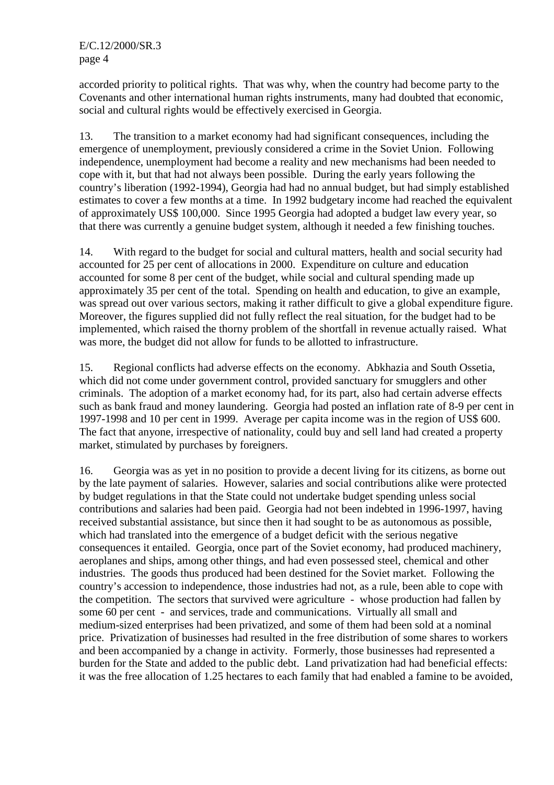accorded priority to political rights. That was why, when the country had become party to the Covenants and other international human rights instruments, many had doubted that economic, social and cultural rights would be effectively exercised in Georgia.

13. The transition to a market economy had had significant consequences, including the emergence of unemployment, previously considered a crime in the Soviet Union. Following independence, unemployment had become a reality and new mechanisms had been needed to cope with it, but that had not always been possible. During the early years following the country's liberation (1992-1994), Georgia had had no annual budget, but had simply established estimates to cover a few months at a time. In 1992 budgetary income had reached the equivalent of approximately US\$ 100,000. Since 1995 Georgia had adopted a budget law every year, so that there was currently a genuine budget system, although it needed a few finishing touches.

14. With regard to the budget for social and cultural matters, health and social security had accounted for 25 per cent of allocations in 2000. Expenditure on culture and education accounted for some 8 per cent of the budget, while social and cultural spending made up approximately 35 per cent of the total. Spending on health and education, to give an example, was spread out over various sectors, making it rather difficult to give a global expenditure figure. Moreover, the figures supplied did not fully reflect the real situation, for the budget had to be implemented, which raised the thorny problem of the shortfall in revenue actually raised. What was more, the budget did not allow for funds to be allotted to infrastructure.

15. Regional conflicts had adverse effects on the economy. Abkhazia and South Ossetia, which did not come under government control, provided sanctuary for smugglers and other criminals. The adoption of a market economy had, for its part, also had certain adverse effects such as bank fraud and money laundering. Georgia had posted an inflation rate of 8-9 per cent in 1997-1998 and 10 per cent in 1999. Average per capita income was in the region of US\$ 600. The fact that anyone, irrespective of nationality, could buy and sell land had created a property market, stimulated by purchases by foreigners.

16. Georgia was as yet in no position to provide a decent living for its citizens, as borne out by the late payment of salaries. However, salaries and social contributions alike were protected by budget regulations in that the State could not undertake budget spending unless social contributions and salaries had been paid. Georgia had not been indebted in 1996-1997, having received substantial assistance, but since then it had sought to be as autonomous as possible, which had translated into the emergence of a budget deficit with the serious negative consequences it entailed. Georgia, once part of the Soviet economy, had produced machinery, aeroplanes and ships, among other things, and had even possessed steel, chemical and other industries. The goods thus produced had been destined for the Soviet market. Following the country's accession to independence, those industries had not, as a rule, been able to cope with the competition. The sectors that survived were agriculture - whose production had fallen by some 60 per cent - and services, trade and communications. Virtually all small and medium-sized enterprises had been privatized, and some of them had been sold at a nominal price. Privatization of businesses had resulted in the free distribution of some shares to workers and been accompanied by a change in activity. Formerly, those businesses had represented a burden for the State and added to the public debt. Land privatization had had beneficial effects: it was the free allocation of 1.25 hectares to each family that had enabled a famine to be avoided,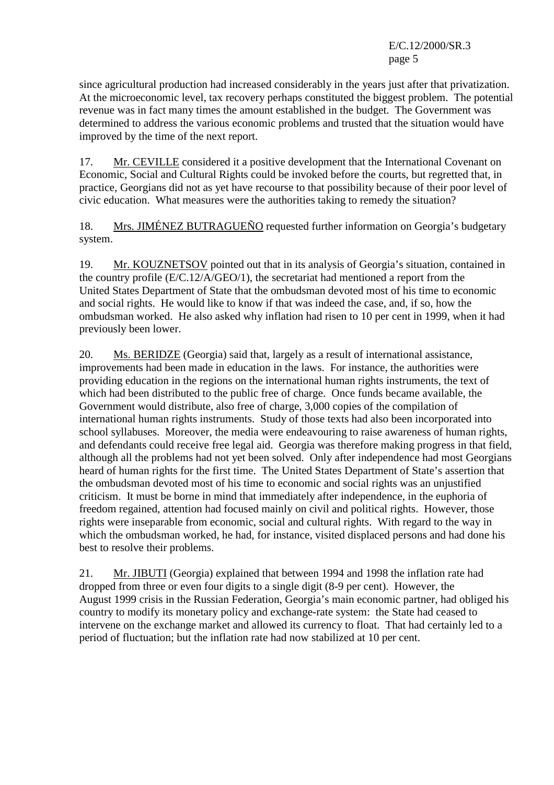since agricultural production had increased considerably in the years just after that privatization. At the microeconomic level, tax recovery perhaps constituted the biggest problem. The potential revenue was in fact many times the amount established in the budget. The Government was determined to address the various economic problems and trusted that the situation would have improved by the time of the next report.

17. Mr. CEVILLE considered it a positive development that the International Covenant on Economic, Social and Cultural Rights could be invoked before the courts, but regretted that, in practice, Georgians did not as yet have recourse to that possibility because of their poor level of civic education. What measures were the authorities taking to remedy the situation?

18. Mrs. JIMÉNEZ BUTRAGUEÑO requested further information on Georgia's budgetary system.

19. Mr. KOUZNETSOV pointed out that in its analysis of Georgia's situation, contained in the country profile (E/C.12/A/GEO/1), the secretariat had mentioned a report from the United States Department of State that the ombudsman devoted most of his time to economic and social rights. He would like to know if that was indeed the case, and, if so, how the ombudsman worked. He also asked why inflation had risen to 10 per cent in 1999, when it had previously been lower.

20. Ms. BERIDZE (Georgia) said that, largely as a result of international assistance, improvements had been made in education in the laws. For instance, the authorities were providing education in the regions on the international human rights instruments, the text of which had been distributed to the public free of charge. Once funds became available, the Government would distribute, also free of charge, 3,000 copies of the compilation of international human rights instruments. Study of those texts had also been incorporated into school syllabuses. Moreover, the media were endeavouring to raise awareness of human rights, and defendants could receive free legal aid. Georgia was therefore making progress in that field, although all the problems had not yet been solved. Only after independence had most Georgians heard of human rights for the first time. The United States Department of State's assertion that the ombudsman devoted most of his time to economic and social rights was an unjustified criticism. It must be borne in mind that immediately after independence, in the euphoria of freedom regained, attention had focused mainly on civil and political rights. However, those rights were inseparable from economic, social and cultural rights. With regard to the way in which the ombudsman worked, he had, for instance, visited displaced persons and had done his best to resolve their problems.

21. Mr. JIBUTI (Georgia) explained that between 1994 and 1998 the inflation rate had dropped from three or even four digits to a single digit (8-9 per cent). However, the August 1999 crisis in the Russian Federation, Georgia's main economic partner, had obliged his country to modify its monetary policy and exchange-rate system: the State had ceased to intervene on the exchange market and allowed its currency to float. That had certainly led to a period of fluctuation; but the inflation rate had now stabilized at 10 per cent.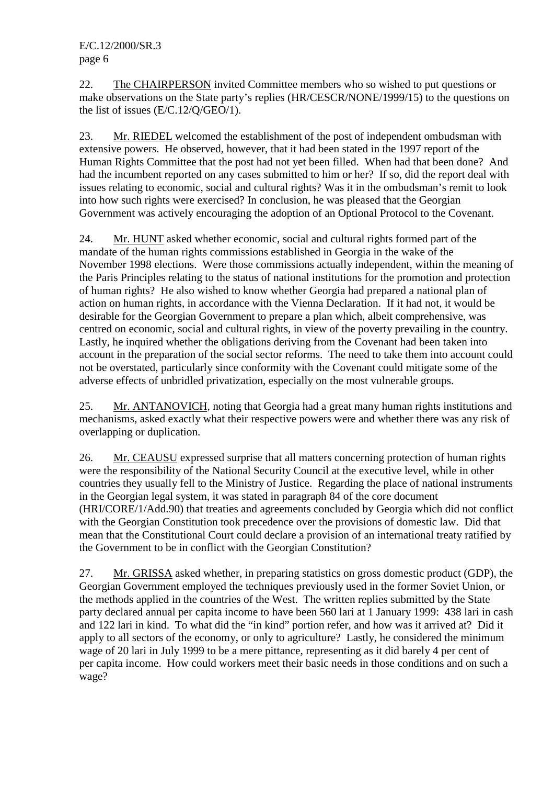22. The CHAIRPERSON invited Committee members who so wished to put questions or make observations on the State party's replies (HR/CESCR/NONE/1999/15) to the questions on the list of issues (E/C.12/Q/GEO/1).

23. Mr. RIEDEL welcomed the establishment of the post of independent ombudsman with extensive powers. He observed, however, that it had been stated in the 1997 report of the Human Rights Committee that the post had not yet been filled. When had that been done? And had the incumbent reported on any cases submitted to him or her? If so, did the report deal with issues relating to economic, social and cultural rights? Was it in the ombudsman's remit to look into how such rights were exercised? In conclusion, he was pleased that the Georgian Government was actively encouraging the adoption of an Optional Protocol to the Covenant.

24. Mr. HUNT asked whether economic, social and cultural rights formed part of the mandate of the human rights commissions established in Georgia in the wake of the November 1998 elections. Were those commissions actually independent, within the meaning of the Paris Principles relating to the status of national institutions for the promotion and protection of human rights? He also wished to know whether Georgia had prepared a national plan of action on human rights, in accordance with the Vienna Declaration. If it had not, it would be desirable for the Georgian Government to prepare a plan which, albeit comprehensive, was centred on economic, social and cultural rights, in view of the poverty prevailing in the country. Lastly, he inquired whether the obligations deriving from the Covenant had been taken into account in the preparation of the social sector reforms. The need to take them into account could not be overstated, particularly since conformity with the Covenant could mitigate some of the adverse effects of unbridled privatization, especially on the most vulnerable groups.

25. Mr. ANTANOVICH, noting that Georgia had a great many human rights institutions and mechanisms, asked exactly what their respective powers were and whether there was any risk of overlapping or duplication.

26. Mr. CEAUSU expressed surprise that all matters concerning protection of human rights were the responsibility of the National Security Council at the executive level, while in other countries they usually fell to the Ministry of Justice. Regarding the place of national instruments in the Georgian legal system, it was stated in paragraph 84 of the core document (HRI/CORE/1/Add.90) that treaties and agreements concluded by Georgia which did not conflict with the Georgian Constitution took precedence over the provisions of domestic law. Did that mean that the Constitutional Court could declare a provision of an international treaty ratified by the Government to be in conflict with the Georgian Constitution?

27. Mr. GRISSA asked whether, in preparing statistics on gross domestic product (GDP), the Georgian Government employed the techniques previously used in the former Soviet Union, or the methods applied in the countries of the West. The written replies submitted by the State party declared annual per capita income to have been 560 lari at 1 January 1999: 438 lari in cash and 122 lari in kind. To what did the "in kind" portion refer, and how was it arrived at? Did it apply to all sectors of the economy, or only to agriculture? Lastly, he considered the minimum wage of 20 lari in July 1999 to be a mere pittance, representing as it did barely 4 per cent of per capita income. How could workers meet their basic needs in those conditions and on such a wage?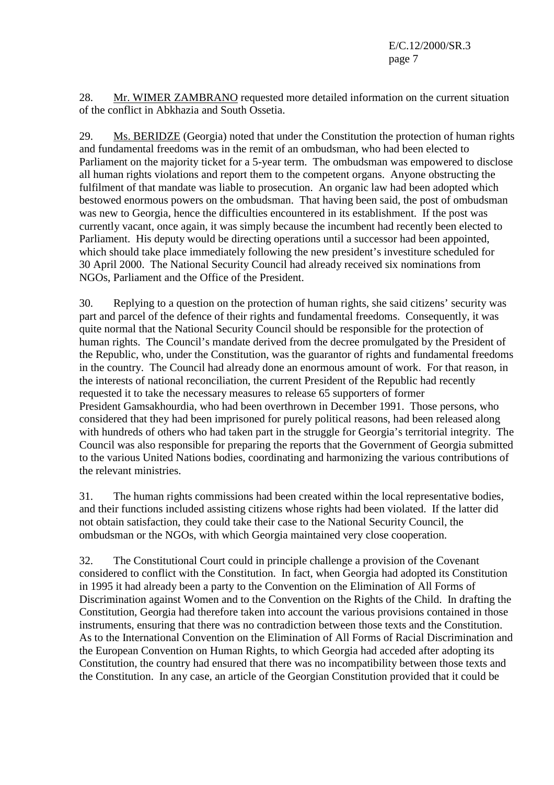28. Mr. WIMER ZAMBRANO requested more detailed information on the current situation of the conflict in Abkhazia and South Ossetia.

29. Ms. BERIDZE (Georgia) noted that under the Constitution the protection of human rights and fundamental freedoms was in the remit of an ombudsman, who had been elected to Parliament on the majority ticket for a 5-year term. The ombudsman was empowered to disclose all human rights violations and report them to the competent organs. Anyone obstructing the fulfilment of that mandate was liable to prosecution. An organic law had been adopted which bestowed enormous powers on the ombudsman. That having been said, the post of ombudsman was new to Georgia, hence the difficulties encountered in its establishment. If the post was currently vacant, once again, it was simply because the incumbent had recently been elected to Parliament. His deputy would be directing operations until a successor had been appointed, which should take place immediately following the new president's investiture scheduled for 30 April 2000. The National Security Council had already received six nominations from NGOs, Parliament and the Office of the President.

30. Replying to a question on the protection of human rights, she said citizens' security was part and parcel of the defence of their rights and fundamental freedoms. Consequently, it was quite normal that the National Security Council should be responsible for the protection of human rights. The Council's mandate derived from the decree promulgated by the President of the Republic, who, under the Constitution, was the guarantor of rights and fundamental freedoms in the country. The Council had already done an enormous amount of work. For that reason, in the interests of national reconciliation, the current President of the Republic had recently requested it to take the necessary measures to release 65 supporters of former President Gamsakhourdia, who had been overthrown in December 1991. Those persons, who considered that they had been imprisoned for purely political reasons, had been released along with hundreds of others who had taken part in the struggle for Georgia's territorial integrity. The Council was also responsible for preparing the reports that the Government of Georgia submitted to the various United Nations bodies, coordinating and harmonizing the various contributions of the relevant ministries.

31. The human rights commissions had been created within the local representative bodies, and their functions included assisting citizens whose rights had been violated. If the latter did not obtain satisfaction, they could take their case to the National Security Council, the ombudsman or the NGOs, with which Georgia maintained very close cooperation.

32. The Constitutional Court could in principle challenge a provision of the Covenant considered to conflict with the Constitution. In fact, when Georgia had adopted its Constitution in 1995 it had already been a party to the Convention on the Elimination of All Forms of Discrimination against Women and to the Convention on the Rights of the Child. In drafting the Constitution, Georgia had therefore taken into account the various provisions contained in those instruments, ensuring that there was no contradiction between those texts and the Constitution. As to the International Convention on the Elimination of All Forms of Racial Discrimination and the European Convention on Human Rights, to which Georgia had acceded after adopting its Constitution, the country had ensured that there was no incompatibility between those texts and the Constitution. In any case, an article of the Georgian Constitution provided that it could be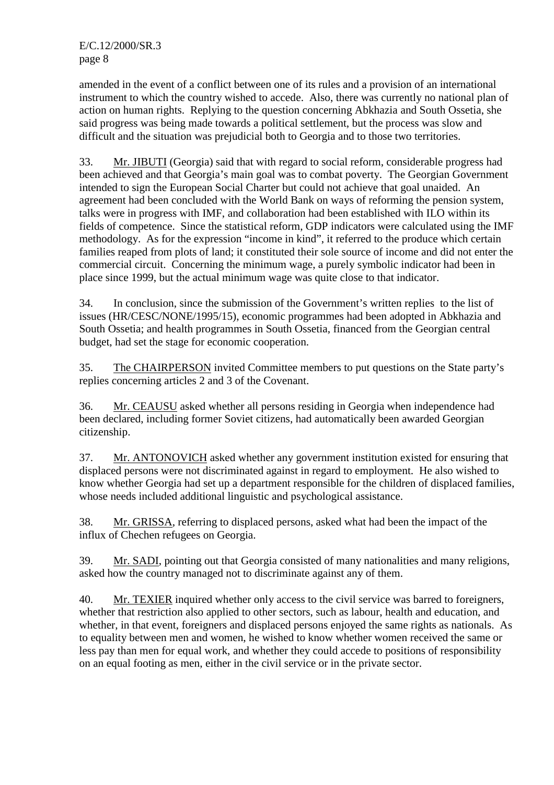amended in the event of a conflict between one of its rules and a provision of an international instrument to which the country wished to accede. Also, there was currently no national plan of action on human rights. Replying to the question concerning Abkhazia and South Ossetia, she said progress was being made towards a political settlement, but the process was slow and difficult and the situation was prejudicial both to Georgia and to those two territories.

33. Mr. JIBUTI (Georgia) said that with regard to social reform, considerable progress had been achieved and that Georgia's main goal was to combat poverty. The Georgian Government intended to sign the European Social Charter but could not achieve that goal unaided. An agreement had been concluded with the World Bank on ways of reforming the pension system, talks were in progress with IMF, and collaboration had been established with ILO within its fields of competence. Since the statistical reform, GDP indicators were calculated using the IMF methodology. As for the expression "income in kind", it referred to the produce which certain families reaped from plots of land; it constituted their sole source of income and did not enter the commercial circuit. Concerning the minimum wage, a purely symbolic indicator had been in place since 1999, but the actual minimum wage was quite close to that indicator.

34. In conclusion, since the submission of the Government's written replies to the list of issues (HR/CESC/NONE/1995/15), economic programmes had been adopted in Abkhazia and South Ossetia; and health programmes in South Ossetia, financed from the Georgian central budget, had set the stage for economic cooperation.

35. The CHAIRPERSON invited Committee members to put questions on the State party's replies concerning articles 2 and 3 of the Covenant.

36. Mr. CEAUSU asked whether all persons residing in Georgia when independence had been declared, including former Soviet citizens, had automatically been awarded Georgian citizenship.

37. Mr. ANTONOVICH asked whether any government institution existed for ensuring that displaced persons were not discriminated against in regard to employment. He also wished to know whether Georgia had set up a department responsible for the children of displaced families, whose needs included additional linguistic and psychological assistance.

38. Mr. GRISSA, referring to displaced persons, asked what had been the impact of the influx of Chechen refugees on Georgia.

39. Mr. SADI, pointing out that Georgia consisted of many nationalities and many religions, asked how the country managed not to discriminate against any of them.

40. Mr. TEXIER inquired whether only access to the civil service was barred to foreigners, whether that restriction also applied to other sectors, such as labour, health and education, and whether, in that event, foreigners and displaced persons enjoyed the same rights as nationals. As to equality between men and women, he wished to know whether women received the same or less pay than men for equal work, and whether they could accede to positions of responsibility on an equal footing as men, either in the civil service or in the private sector.